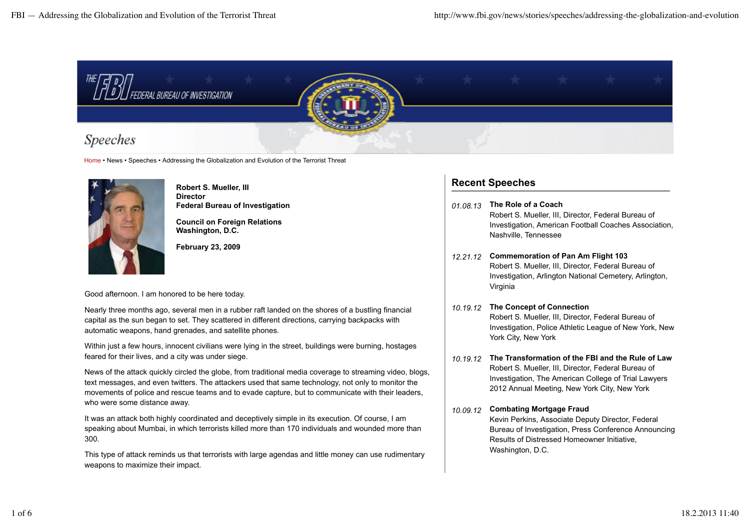

Home • News • Speeches • Addressing the Globalization and Evolution of the Terrorist Threat



**Robert S. Mueller, III Director Federal Bureau of Investigation**

**Council on Foreign Relations Washington, D.C.**

**February 23, 2009**

Good afternoon. I am honored to be here today.

Nearly three months ago, several men in a rubber raft landed on the shores of a bustling financial capital as the sun began to set. They scattered in different directions, carrying backpacks with automatic weapons, hand grenades, and satellite phones.

Within just a few hours, innocent civilians were lying in the street, buildings were burning, hostages feared for their lives, and a city was under siege.

News of the attack quickly circled the globe, from traditional media coverage to streaming video, blogs, text messages, and even twitters. The attackers used that same technology, not only to monitor the movements of police and rescue teams and to evade capture, but to communicate with their leaders, who were some distance away.

It was an attack both highly coordinated and deceptively simple in its execution. Of course, I am speaking about Mumbai, in which terrorists killed more than 170 individuals and wounded more than 300.

This type of attack reminds us that terrorists with large agendas and little money can use rudimentary weapons to maximize their impact.

# **Recent Speeches**

- *01.08.13* **The Role of a Coach** Robert S. Mueller, III, Director, Federal Bureau of Investigation, American Football Coaches Association, Nashville, Tennessee
- *12.21.12* **Commemoration of Pan Am Flight 103** Robert S. Mueller, III, Director, Federal Bureau of Investigation, Arlington National Cemetery, Arlington, Virginia
- *10.19.12* **The Concept of Connection** Robert S. Mueller, III, Director, Federal Bureau of Investigation, Police Athletic League of New York, New York City, New York
- *10.19.12* **The Transformation of the FBI and the Rule of Law** Robert S. Mueller, III, Director, Federal Bureau of Investigation, The American College of Trial Lawyers 2012 Annual Meeting, New York City, New York
- *10.09.12* **Combating Mortgage Fraud** Kevin Perkins, Associate Deputy Director, Federal Bureau of Investigation, Press Conference Announcing Results of Distressed Homeowner Initiative, Washington, D.C.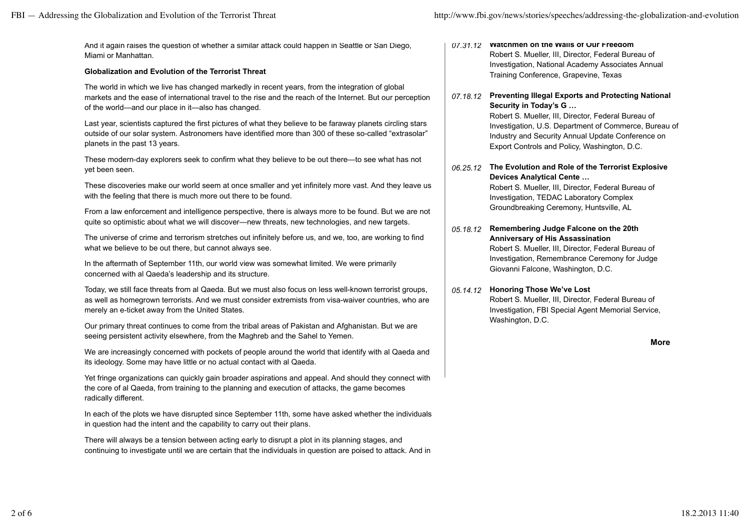And it again raises the question of whether a similar attack could happen in Seattle or San Diego, Miami or Manhattan.

### **Globalization and Evolution of the Terrorist Threat**

The world in which we live has changed markedly in recent years, from the integration of global markets and the ease of international travel to the rise and the reach of the Internet. But our perception of the world—and our place in it—also has changed.

Last year, scientists captured the first pictures of what they believe to be faraway planets circling stars outside of our solar system. Astronomers have identified more than 300 of these so-called "extrasolar" planets in the past 13 years.

These modern-day explorers seek to confirm what they believe to be out there—to see what has not yet been seen.

These discoveries make our world seem at once smaller and yet infinitely more vast. And they leave us with the feeling that there is much more out there to be found.

From a law enforcement and intelligence perspective, there is always more to be found. But we are not quite so optimistic about what we will discover—new threats, new technologies, and new targets.

The universe of crime and terrorism stretches out infinitely before us, and we, too, are working to find what we believe to be out there, but cannot always see.

In the aftermath of September 11th, our world view was somewhat limited. We were primarily concerned with al Qaeda's leadership and its structure.

Today, we still face threats from al Qaeda. But we must also focus on less well-known terrorist groups, as well as homegrown terrorists. And we must consider extremists from visa-waiver countries, who are merely an e-ticket away from the United States.

Our primary threat continues to come from the tribal areas of Pakistan and Afghanistan. But we are seeing persistent activity elsewhere, from the Maghreb and the Sahel to Yemen.

We are increasingly concerned with pockets of people around the world that identify with al Qaeda and its ideology. Some may have little or no actual contact with al Qaeda.

Yet fringe organizations can quickly gain broader aspirations and appeal. And should they connect with the core of al Qaeda, from training to the planning and execution of attacks, the game becomes radically different.

In each of the plots we have disrupted since September 11th, some have asked whether the individuals in question had the intent and the capability to carry out their plans.

There will always be a tension between acting early to disrupt a plot in its planning stages, and continuing to investigate until we are certain that the individuals in question are poised to attack. And in *07.31.12* **Watchmen on the Walls of Our Freedom** Robert S. Mueller, III, Director, Federal Bureau of Investigation, National Academy Associates Annual Training Conference, Grapevine, Texas

#### *07.18.12* **Preventing Illegal Exports and Protecting National Security in Today's G …**

Robert S. Mueller, III, Director, Federal Bureau of Investigation, U.S. Department of Commerce, Bureau of Industry and Security Annual Update Conference on Export Controls and Policy, Washington, D.C.

*06.25.12* **The Evolution and Role of the Terrorist Explosive Devices Analytical Cente …**

Robert S. Mueller, III, Director, Federal Bureau of Investigation, TEDAC Laboratory Complex Groundbreaking Ceremony, Huntsville, AL

*05.18.12* **Remembering Judge Falcone on the 20th Anniversary of His Assassination** Robert S. Mueller, III, Director, Federal Bureau of Investigation, Remembrance Ceremony for Judge Giovanni Falcone, Washington, D.C.

#### *05.14.12* **Honoring Those We've Lost**

Robert S. Mueller, III, Director, Federal Bureau of Investigation, FBI Special Agent Memorial Service, Washington, D.C.

**More**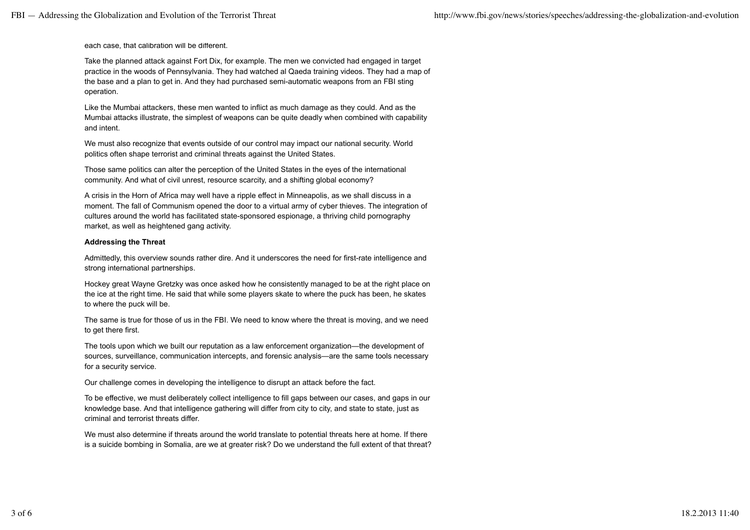each case, that calibration will be different.

Take the planned attack against Fort Dix, for example. The men we convicted had engaged in target practice in the woods of Pennsylvania. They had watched al Qaeda training videos. They had a map of the base and a plan to get in. And they had purchased semi-automatic weapons from an FBI sting operation.

Like the Mumbai attackers, these men wanted to inflict as much damage as they could. And as the Mumbai attacks illustrate, the simplest of weapons can be quite deadly when combined with capability and intent.

We must also recognize that events outside of our control may impact our national security. World politics often shape terrorist and criminal threats against the United States.

Those same politics can alter the perception of the United States in the eyes of the international community. And what of civil unrest, resource scarcity, and a shifting global economy?

A crisis in the Horn of Africa may well have a ripple effect in Minneapolis, as we shall discuss in a moment. The fall of Communism opened the door to a virtual army of cyber thieves. The integration of cultures around the world has facilitated state-sponsored espionage, a thriving child pornography market, as well as heightened gang activity.

### **Addressing the Threat**

Admittedly, this overview sounds rather dire. And it underscores the need for first-rate intelligence and strong international partnerships.

Hockey great Wayne Gretzky was once asked how he consistently managed to be at the right place on the ice at the right time. He said that while some players skate to where the puck has been, he skates to where the puck will be.

The same is true for those of us in the FBI. We need to know where the threat is moving, and we need to get there first.

The tools upon which we built our reputation as a law enforcement organization—the development of sources, surveillance, communication intercepts, and forensic analysis—are the same tools necessary for a security service.

Our challenge comes in developing the intelligence to disrupt an attack before the fact.

To be effective, we must deliberately collect intelligence to fill gaps between our cases, and gaps in our knowledge base. And that intelligence gathering will differ from city to city, and state to state, just as criminal and terrorist threats differ.

We must also determine if threats around the world translate to potential threats here at home. If there is a suicide bombing in Somalia, are we at greater risk? Do we understand the full extent of that threat?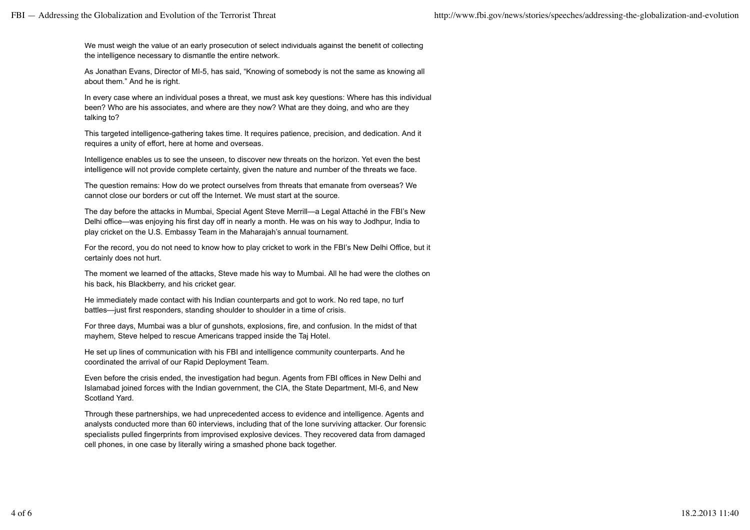We must weigh the value of an early prosecution of select individuals against the benefit of collecting the intelligence necessary to dismantle the entire network.

As Jonathan Evans, Director of MI-5, has said, "Knowing of somebody is not the same as knowing all about them." And he is right.

In every case where an individual poses a threat, we must ask key questions: Where has this individual been? Who are his associates, and where are they now? What are they doing, and who are they talking to?

This targeted intelligence-gathering takes time. It requires patience, precision, and dedication. And it requires a unity of effort, here at home and overseas.

Intelligence enables us to see the unseen, to discover new threats on the horizon. Yet even the best intelligence will not provide complete certainty, given the nature and number of the threats we face.

The question remains: How do we protect ourselves from threats that emanate from overseas? We cannot close our borders or cut off the Internet. We must start at the source.

The day before the attacks in Mumbai, Special Agent Steve Merrill—a Legal Attaché in the FBI's New Delhi office—was enjoying his first day off in nearly a month. He was on his way to Jodhpur, India to play cricket on the U.S. Embassy Team in the Maharajah's annual tournament.

For the record, you do not need to know how to play cricket to work in the FBI's New Delhi Office, but it certainly does not hurt.

The moment we learned of the attacks, Steve made his way to Mumbai. All he had were the clothes on his back, his Blackberry, and his cricket gear.

He immediately made contact with his Indian counterparts and got to work. No red tape, no turf battles—just first responders, standing shoulder to shoulder in a time of crisis.

For three days, Mumbai was a blur of gunshots, explosions, fire, and confusion. In the midst of that mayhem, Steve helped to rescue Americans trapped inside the Taj Hotel.

He set up lines of communication with his FBI and intelligence community counterparts. And he coordinated the arrival of our Rapid Deployment Team.

Even before the crisis ended, the investigation had begun. Agents from FBI offices in New Delhi and Islamabad joined forces with the Indian government, the CIA, the State Department, MI-6, and New Scotland Yard.

Through these partnerships, we had unprecedented access to evidence and intelligence. Agents and analysts conducted more than 60 interviews, including that of the lone surviving attacker. Our forensic specialists pulled fingerprints from improvised explosive devices. They recovered data from damaged cell phones, in one case by literally wiring a smashed phone back together.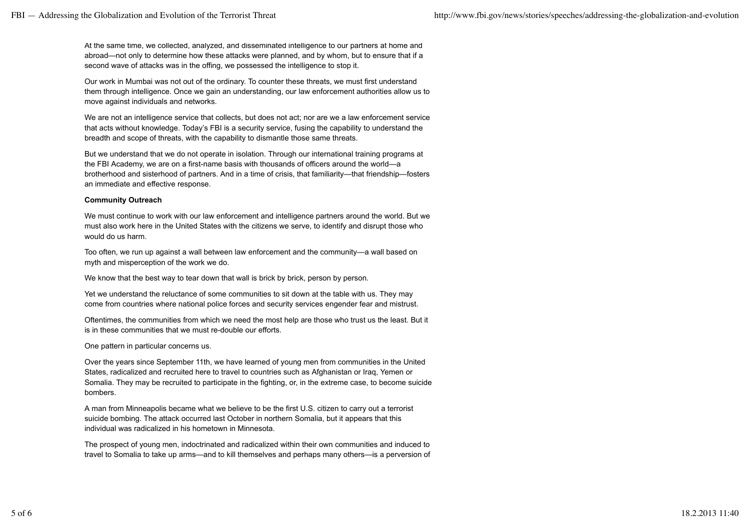At the same time, we collected, analyzed, and disseminated intelligence to our partners at home and abroad—not only to determine how these attacks were planned, and by whom, but to ensure that if a second wave of attacks was in the offing, we possessed the intelligence to stop it.

Our work in Mumbai was not out of the ordinary. To counter these threats, we must first understand them through intelligence. Once we gain an understanding, our law enforcement authorities allow us to move against individuals and networks.

We are not an intelligence service that collects, but does not act; nor are we a law enforcement service that acts without knowledge. Today's FBI is a security service, fusing the capability to understand the breadth and scope of threats, with the capability to dismantle those same threats.

But we understand that we do not operate in isolation. Through our international training programs at the FBI Academy, we are on a first-name basis with thousands of officers around the world—a brotherhood and sisterhood of partners. And in a time of crisis, that familiarity—that friendship—fosters an immediate and effective response.

## **Community Outreach**

We must continue to work with our law enforcement and intelligence partners around the world. But we must also work here in the United States with the citizens we serve, to identify and disrupt those who would do us harm.

Too often, we run up against a wall between law enforcement and the community—a wall based on myth and misperception of the work we do.

We know that the best way to tear down that wall is brick by brick, person by person.

Yet we understand the reluctance of some communities to sit down at the table with us. They may come from countries where national police forces and security services engender fear and mistrust.

Oftentimes, the communities from which we need the most help are those who trust us the least. But it is in these communities that we must re-double our efforts.

One pattern in particular concerns us.

Over the years since September 11th, we have learned of young men from communities in the United States, radicalized and recruited here to travel to countries such as Afghanistan or Iraq, Yemen or Somalia. They may be recruited to participate in the fighting, or, in the extreme case, to become suicide bombers.

A man from Minneapolis became what we believe to be the first U.S. citizen to carry out a terrorist suicide bombing. The attack occurred last October in northern Somalia, but it appears that this individual was radicalized in his hometown in Minnesota.

The prospect of young men, indoctrinated and radicalized within their own communities and induced to travel to Somalia to take up arms—and to kill themselves and perhaps many others—is a perversion of